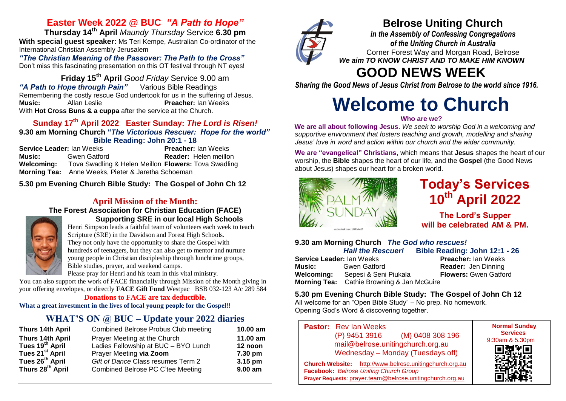# **Easter Week 2022 @ BUC** *"A Path to Hope"*

**Thursday 14th April** *Maundy Thursday* Service **6.30 pm With special guest speaker:** Ms Teri Kempe, Australian Co-ordinator of the International Christian Assembly Jerusalem

*"The Christian Meaning of the Passover: The Path to the Cross"*  Don't miss this fascinating presentation on this OT festival through NT eyes!

**Friday 15th April** *Good Friday* Service 9.00 am "A Path to Hope through Pain" Remembering the costly rescue God undertook for us in the suffering of Jesus. **Music:** Allan Leslie **Preacher:** Ian Weeks With **Hot Cross Buns & a cuppa** after the service at the Church.

## **Sunday 17 th April 2022 Easter Sunday:** *The Lord is Risen!* **9.30 am Morning Church "***The Victorious Rescuer: Hope for the world"*

**Bible Reading: John 20:1 - 18 Service Leader:** Ian Weeks **Preacher:** Ian Weeks **Music:** Gwen Gatford **Reader:** Helen meillon **Welcoming:** Tova Swadling & Helen Meillon **Flowers:** Tova Swadling **Morning Tea:** Anne Weeks, Pieter & Jaretha Schoeman

**5.30 pm Evening Church Bible Study: The Gospel of John Ch 12**

## **April Mission of the Month:**

#### **The Forest Association for Christian Education (FACE) Supporting SRE in our local High Schools**



Henri Simpson leads a faithful team of volunteers each week to teach Scripture (SRE) in the Davidson and Forest High Schools. They not only have the opportunity to share the Gospel with hundreds of teenagers, but they can also get to mentor and nurture young people in Christian discipleship through lunchtime groups, Bible studies, prayer, and weekend camps.

Please pray for Henri and his team in this vital ministry.

You can also support the work of FACE financially through Mission of the Month giving in your offering envelopes, or directly **FACE Gift Fund** Westpac BSB 032-123 A/c 289 584

**Donations to FACE are tax deductible.**

**What a great investment in the lives of local young people for the Gospel!!**

# **WHAT'S ON @ BUC – Update your 2022 diaries**

| Thurs 14th April             | Combined Belrose Probus Club meeting | $10.00$ am          |
|------------------------------|--------------------------------------|---------------------|
| Thurs 14th April             | Prayer Meeting at the Church         | 11.00 am            |
| Tues 19 <sup>th</sup> April  | Ladies Fellowship at BUC - BYO Lunch | 12 noon             |
| Tues 21 <sup>st</sup> April  | Prayer Meeting via Zoom              | 7.30 pm             |
| Tues $26^{th}$ April         | Gift of Dance Class resumes Term 2   | 3.15 pm             |
| Thurs 28 <sup>th</sup> April | Combined Belrose PC C'tee Meeting    | 9.00 a <sub>m</sub> |



# **Belrose Uniting Church**

*in the Assembly of Confessing Congregations of the Uniting Church in Australia* Corner Forest Way and Morgan Road, Belrose *We aim TO KNOW CHRIST AND TO MAKE HIM KNOWN*

# **GOOD NEWS WEEK**

*Sharing the Good News of Jesus Christ from Belrose to the world since 1916.*

# **Welcome to Church**

#### **Who are we?**

**We are all about following Jesus**. *We seek to worship God in a welcoming and supportive environment that fosters teaching and growth, modelling and sharing Jesus' love in word and action within our church and the wider community.*

**We are "evangelical" Christians,** which means that **Jesus** shapes the heart of our worship, the **Bible** shapes the heart of our life, and the **Gospel** (the Good News about Jesus) shapes our heart for a broken world.



# **Today's Services 10th April 2022**

**The Lord's Supper will be celebrated AM & PM.**

## **9.30 am Morning Church** *The God who rescues!*

*Hail the Rescuer!* **Bible Reading: John 12:1 - 26 Service Leader:** Ian Weeks **Preacher:** Ian Weeks **Music:** Gwen Gatford **Reader:** Jen Dinning **Welcoming:** Sepesi & Seni Piukala **Flowers:** Gwen Gatford **Morning Tea:** Cathie Browning & Jan McGuire

#### **5.30 pm Evening Church Bible Study: The Gospel of John Ch 12**

All welcome for an "Open Bible Study" – No prep. No homework. Opening God's Word & discovering together.

| <b>Pastor:</b> Rev Ian Weeks<br>(M) 0408 308 196<br>(P) 9451 3916<br>mail@belrose.unitingchurch.org.au<br>Wednesday - Monday (Tuesdays off)                              | <b>Normal Sunday</b><br><b>Services</b><br>9:30am & 5.30pm |
|--------------------------------------------------------------------------------------------------------------------------------------------------------------------------|------------------------------------------------------------|
| http://www.belrose.unitingchurch.org.au<br><b>Church Website:</b><br>Facebook: Belrose Uniting Church Group<br>Prayer Requests: prayer.team@belrose.unitingchurch.org.au |                                                            |